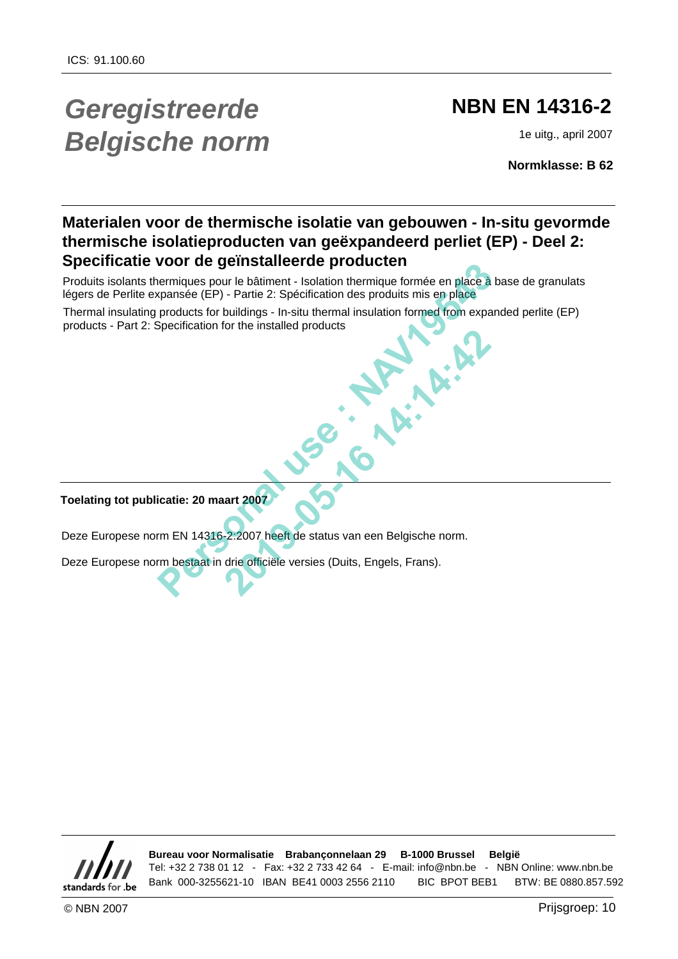# *Geregistreerde Belgische norm*

## **NBN EN 14316-2**

1e uitg., april 2007

**Normklasse: B 62**

## **Materialen voor de thermische isolatie van gebouwen - In-situ gevormde thermische isolatieproducten van geëxpandeerd perliet (EP) - Deel 2: Specificatie voor de geïnstalleerde producten**

Produits isolants thermiques pour le bâtiment - Isolation thermique formée en place à base de granulats légers de Perlite expansée (EP) - Partie 2: Spécification des produits mis en place

Thermal insulating products for buildings - In-situ thermal insulation formed from expanded perlite (EP) products - Part 2: Specification for the installed products

**Toelating tot publicatie: 20 maart 2007**

Deze Europese norm EN 14316-2:2007 heeft de status van een Belgische norm. **22007 heeft de status van een Belgische norm.**<br>drie officiële versies (Duits, Engels, Frans).

Deze Europese norm bestaat in drie officiële versies (Duits, Engels, Frans).

standards for .be

**Bureau voor Normalisatie Brabançonnelaan 29 B-1000 Brussel België** Tel: +32 2 738 01 12 - Fax: +32 2 733 42 64 - E-mail: info@nbn.be - NBN Online: www.nbn.be **EXERCTS CONDAM BEFORE CEPT PARTS CONDAM BEFORE CEPT** PARTS CONDAM BET AND CONDAM BE 10 IS ONCE AND THE CEPT SPONSIBILE CEPT SPONSIBILE CONDUCTS TO THE CONDUCTS INTO THE DRIVE OF THE DRIVE OF THE DRIVE OF THE DRIVE OF THE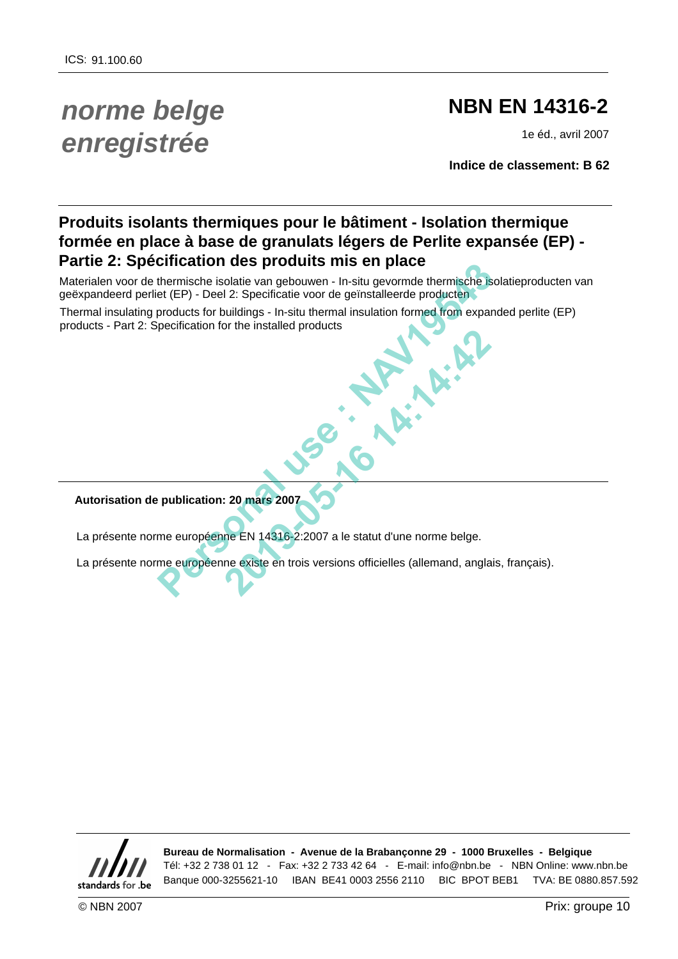# *norme belge enregistrée*

## **NBN EN 14316-2**

1e éd., avril 2007

**Indice de classement: B 62**

## **Produits isolants thermiques pour le bâtiment - Isolation thermique formée en place à base de granulats légers de Perlite expansée (EP) - Partie 2: Spécification des produits mis en place**

Materialen voor de thermische isolatie van gebouwen - In-situ gevormde thermische isolatieproducten van geëxpandeerd perliet (EP) - Deel 2: Specificatie voor de geïnstalleerde producten

Thermal insulating products for buildings - In-situ thermal insulation formed from expanded perlite (EP) products - Part 2: Specification for the installed products

**Autorisation de publication: 20 mars 2007**

La présente norme européenne EN 14316-2:2007 a le statut d'une norme belge. 20 mars 2007<br>
20 mars 2007<br>
Prince EN 14316-2:2007 a le statut d'une norme belge.<br>
Re EN 14316-2:2007 a le statut d'une norme belge.<br>
Re existe en trois versions officielles (allemand, angla

La présente norme européenne existe en trois versions officielles (allemand, anglais, français).



**Bureau de Normalisation - Avenue de la Brabançonne 29 - 1000 Bruxelles - Belgique** Tél: +32 2 738 01 12 - Fax: +32 2 733 42 64 - E-mail: info@nbn.be - NBN Online: www.nbn.be Christian isolatie van gebouwen - In-situ gewonde thermische Solatieproducten van<br>thermische isolatie van gebouwen - In-situ gewonde the productes for products for Uniterpress - In-situ thermal insulation formed from expan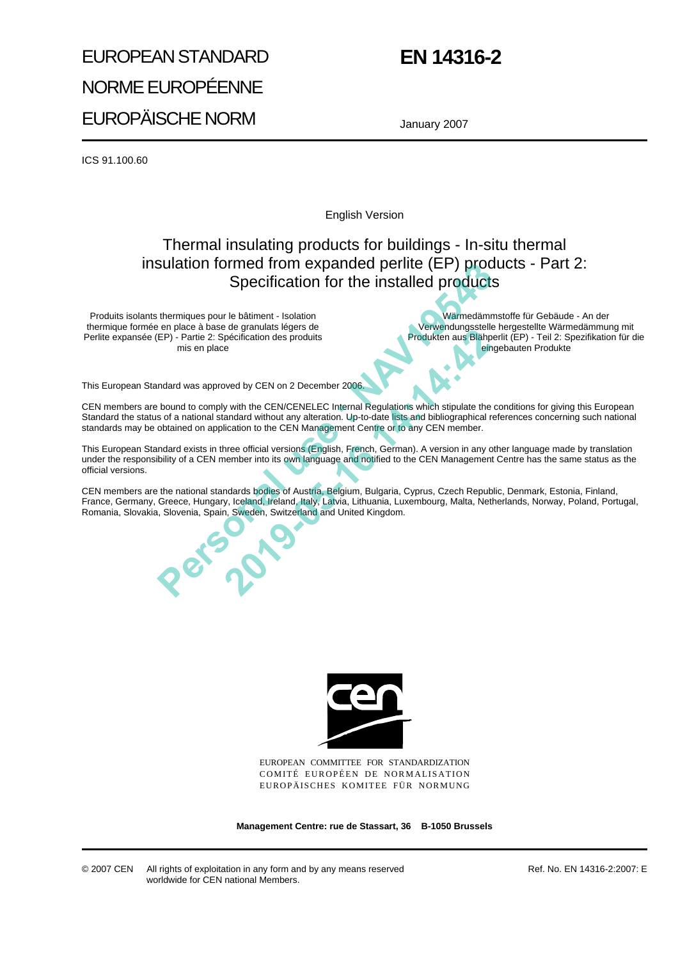# EUROPEAN STANDARD NORME EUROPÉENNE EUROPÄISCHE NORM

## **EN 14316-2**

January 2007

ICS 91.100.60

English Version

## Thermal insulating products for buildings - In-situ thermal insulation formed from expanded perlite (EP) products - Part 2: Specification for the installed products

Produits isolants thermiques pour le bâtiment - Isolation thermique formée en place à base de granulats légers de Perlite expansée (EP) - Partie 2: Spécification des produits mis en place

Wärmedämmstoffe für Gebäude - An der Verwendungsstelle hergestellte Wärmedämmung mit Produkten aus Blähperlit (EP) - Teil 2: Spezifikation für die eingebauten Produkte

This European Standard was approved by CEN on 2 December 2006.

CEN members are bound to comply with the CEN/CENELEC Internal Regulations which stipulate the conditions for giving this European Standard the status of a national standard without any alteration. Up-to-date lists and bibliographical references concerning such national standards may be obtained on application to the CEN Management Centre or to any CEN member. SUIRIUON TOTTEE TOT EXPERIES TO REF. PICTURE (LEP) DICOUCLES - P'AIT 2.<br>
Normiques pour la balmont - ladation<br>
are philoson balmont - ladation<br>
are philoson balmont - ladation<br>
PFP) - Parse 2: Specification des produits<br>
T **2019-2019**<br> **2019-05-16:20 Produkten aus Blanch and Blanch and Blanch and Blanch and Blanch and Blanch and Blanch and Blanch and Blanch and Blanch and Blanch and Blanch and Blanch and Blanch and Blanch and Blanch and Blan** 

This European Standard exists in three official versions (English, French, German). A version in any other language made by translation under the responsibility of a CEN member into its own language and notified to the CEN Management Centre has the same status as the official versions.

CEN members are the national standards bodies of Austria, Belgium, Bulgaria, Cyprus, Czech Republic, Denmark, Estonia, Finland, France, Germany, Greece, Hungary, Iceland, Ireland, Italy, Latvia, Lithuania, Luxembourg, Malta, Netherlands, Norway, Poland, Portugal, Romania, Slovakia, Slovenia, Spain, Sweden, Switzerland and United Kingdom.



EUROPEAN COMMITTEE FOR STANDARDIZATION COMITÉ EUROPÉEN DE NORMALISATION EUROPÄISCHES KOMITEE FÜR NORMUNG

**Management Centre: rue de Stassart, 36 B-1050 Brussels**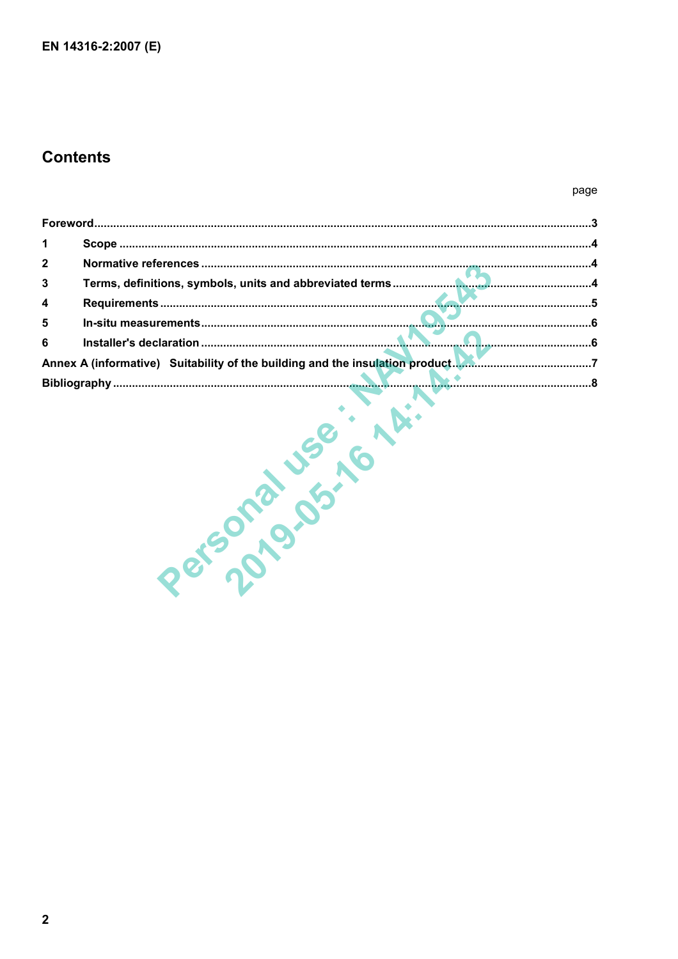## **Contents**

#### page

| 1 <sup>1</sup>          |                                                                               |  |
|-------------------------|-------------------------------------------------------------------------------|--|
| $2^{\circ}$             |                                                                               |  |
| $\overline{\mathbf{3}}$ |                                                                               |  |
| $\overline{\mathbf{4}}$ |                                                                               |  |
| $5\phantom{a}$          |                                                                               |  |
| $6\phantom{a}$          |                                                                               |  |
|                         | Annex A (informative) Suitability of the building and the insulation product. |  |
|                         |                                                                               |  |

Personal Jse in this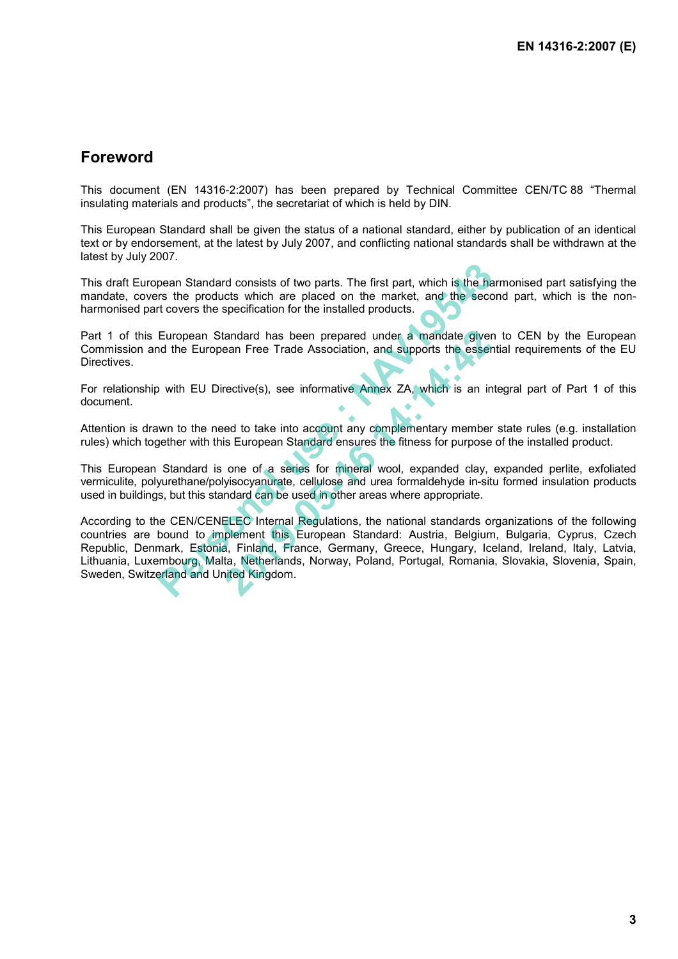### **Foreword**

This document (EN 14316-2:2007) has been prepared by Technical Committee CEN/TC 88 "Thermal insulating materials and products", the secretariat of which is held by DIN.

This European Standard shall be given the status of a national standard, either by publication of an identical text or by endorsement, at the latest by July 2007, and conflicting national standards shall be withdrawn at the latest by July 2007.

This draft European Standard consists of two parts. The first part, which is the harmonised part satisfying the mandate, covers the products which are placed on the market, and the second part, which is the nonharmonised part covers the specification for the installed products.

Part 1 of this European Standard has been prepared under a mandate given to CEN by the European Commission and the European Free Trade Association, and supports the essential requirements of the EU Directives.

For relationship with EU Directive(s), see informative Annex ZA, which is an integral part of Part 1 of this document.

Attention is drawn to the need to take into account any complementary member state rules (e.g. installation rules) which together with this European Standard ensures the fitness for purpose of the installed product.

This European Standard is one of a series for mineral wool, expanded clay, expanded perlite, exfoliated vermiculite, polyurethane/polyisocyanurate, cellulose and urea formaldehyde in-situ formed insulation products used in buildings, but this standard can be used in other areas where appropriate.

According to the CEN/CENELEC Internal Regulations, the national standards organizations of the following countries are bound to implement this European Standard: Austria, Belgium, Bulgaria, Cyprus, Czech Republic, Denmark, Estonia, Finland, France, Germany, Greece, Hungary, Iceland, Ireland, Italy, Latvia, Lithuania, Luxembourg, Malta, Netherlands, Norway, Poland, Portugal, Romania, Slovakia, Slovenia, Spain, Sweden, Switzerland and United Kingdom. pean Standard consists of two parts. The first part, which is the harmon standard consists of two parts. The first part, which is the harmon standard transfer to covers the specification for the installed products. Europea tandard has been prepared under a mandate giver<br>
ean Free Trade Association, and supports the esser<br>
rective(s), see informative Annex ZA, which is an ir<br>
eed to take into account any complementary member<br>
is European Stan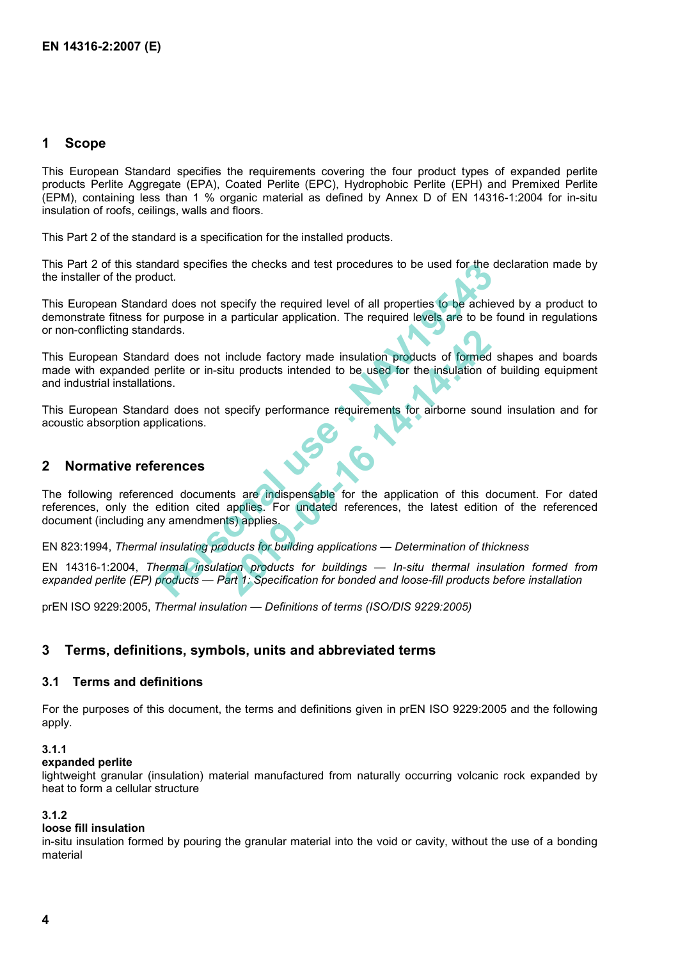#### **1 Scope**

This European Standard specifies the requirements covering the four product types of expanded perlite products Perlite Aggregate (EPA), Coated Perlite (EPC), Hydrophobic Perlite (EPH) and Premixed Perlite (EPM), containing less than 1 % organic material as defined by Annex D of EN 14316-1:2004 for in-situ insulation of roofs, ceilings, walls and floors.

This Part 2 of the standard is a specification for the installed products.

This Part 2 of this standard specifies the checks and test procedures to be used for the declaration made by the installer of the product.

This European Standard does not specify the required level of all properties to be achieved by a product to demonstrate fitness for purpose in a particular application. The required levels are to be found in regulations or non-conflicting standards.

This European Standard does not include factory made insulation products of formed shapes and boards made with expanded perlite or in-situ products intended to be used for the insulation of building equipment and industrial installations.

This European Standard does not specify performance requirements for airborne sound insulation and for acoustic absorption applications.

#### **2 Normative references**

The following referenced documents are indispensable for the application of this document. For dated references, only the edition cited applies. For undated references, the latest edition of the referenced document (including any amendments) applies. dard specifies the checks and test procedures to be used for the uct.<br>
In does not specify the required level of all properties to be achie<br>
purpose in a particular application. The required levels are to be<br>
lards.<br>
And d include factory made insulation products of formed<br>tiu products intended to be used for the insulation of<br>specify performance requirements for airborne sour<br>specify performance requirements for airborne sour<br>this are indis

EN 823:1994, *Thermal insulating products for building applications — Determination of thickness*

EN 14316-1:2004, *Thermal insulation products for buildings — In-situ thermal insulation formed from expanded perlite (EP) products — Part 1: Specification for bonded and loose-fill products before installation* 

prEN ISO 9229:2005, *Thermal insulation — Definitions of terms (ISO/DIS 9229:2005)*

#### **3 Terms, definitions, symbols, units and abbreviated terms**

#### **3.1 Terms and definitions**

For the purposes of this document, the terms and definitions given in prEN ISO 9229:2005 and the following apply.

#### **3.1.1**

#### **expanded perlite**

lightweight granular (insulation) material manufactured from naturally occurring volcanic rock expanded by heat to form a cellular structure

#### **3.1.2**

#### **loose fill insulation**

in-situ insulation formed by pouring the granular material into the void or cavity, without the use of a bonding material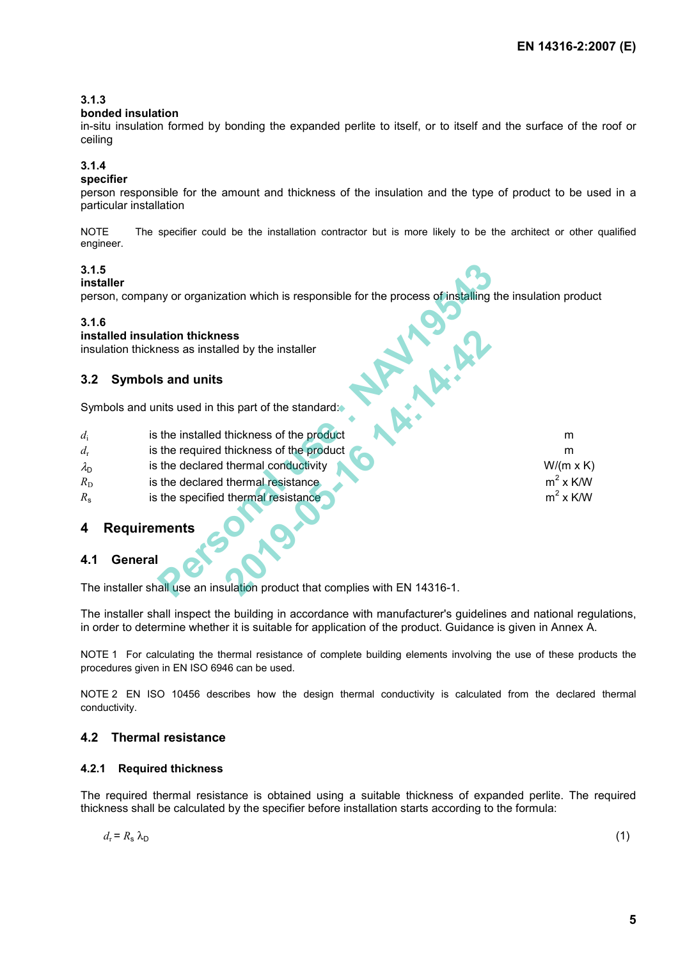$m^2$  x K/W

 $m^2$  x K/W

#### **3.1.3**

#### **bonded insulation**

in-situ insulation formed by bonding the expanded perlite to itself, or to itself and the surface of the roof or ceiling

#### **3.1.4**

#### **specifier**

person responsible for the amount and thickness of the insulation and the type of product to be used in a particular installation

NOTE The specifier could be the installation contractor but is more likely to be the architect or other qualified engineer.

#### **3.1.5**

#### **installer**

person, company or organization which is responsible for the process of installing the insulation product **Personal use : NAV19543 2019-05-16 14:14:42**

#### **3.1.6**

#### **installed insulation thickness**

insulation thickness as installed by the installer

#### **3.2 Symbols and units**

Symbols and units used in this part of the standard:

- *d*<sub>i</sub> is the installed thickness of the product methods are not methods of the product
- *d<sub>r</sub>* is the required thickness of the product means of the product means of the product means of the product means of the product means of the product means of the product means of the product means of the product means
- $\lambda_{\rm D}$  is the declared thermal conductivity **CONDITION** W/(m x K)
- $R_D$  is the declared thermal resistance
- $R<sub>s</sub>$  is the specified thermal resistance

#### **4 Requirements**

#### **4.1 General**

The installer shall use an insulation product that complies with EN 14316-1.

The installer shall inspect the building in accordance with manufacturer's guidelines and national regulations, in order to determine whether it is suitable for application of the product. Guidance is given in Annex A.

NOTE 1 For calculating the thermal resistance of complete building elements involving the use of these products the procedures given in EN ISO 6946 can be used.

NOTE 2 EN ISO 10456 describes how the design thermal conductivity is calculated from the declared thermal conductivity.

#### **4.2 Thermal resistance**

#### **4.2.1 Required thickness**

The required thermal resistance is obtained using a suitable thickness of expanded perlite. The required thickness shall be calculated by the specifier before installation starts according to the formula:

$$
d_{\rm r} = R_{\rm s} \,\lambda_{\rm D} \tag{1}
$$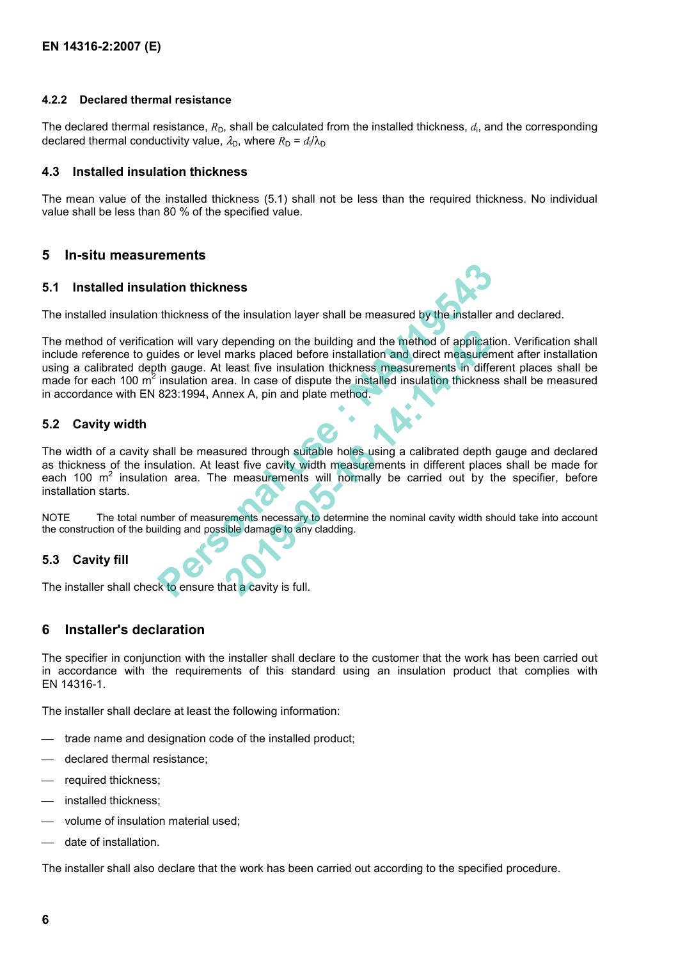#### **4.2.2 Declared thermal resistance**

The declared thermal resistance,  $R_D$ , shall be calculated from the installed thickness,  $d_i$ , and the corresponding declared thermal conductivity value,  $\lambda_{\rm D}$ , where  $R_{\rm D} = d_{\rm i}/\lambda_{\rm D}$ 

#### **4.3 Installed insulation thickness**

The mean value of the installed thickness (5.1) shall not be less than the required thickness. No individual value shall be less than 80 % of the specified value.

#### **5 In-situ measurements**

#### **5.1 Installed insulation thickness**



The installed insulation thickness of the insulation layer shall be measured by the installer and declared.

The method of verification will vary depending on the building and the method of application. Verification shall include reference to guides or level marks placed before installation and direct measurement after installation using a calibrated depth gauge. At least five insulation thickness measurements in different places shall be made for each 100  $m^2$  insulation area. In case of dispute the installed insulation thickness shall be measured in accordance with EN 823:1994, Annex A, pin and plate method. **5.1 Installed insulation thickness**<br>
The installed insulation thickness of the insulation layer shall be measured by the installer and declared<br>
The method of verification will vary depending on the building and the metho depending on the building and the method of applicat<br>marks placed before installation and direct measurer<br>least five insulation thickness measurements in differed.<br>In case of dispute the installed insulation thicknes<br>mnex

#### **5.2 Cavity width**

The width of a cavity shall be measured through suitable holes using a calibrated depth gauge and declared as thickness of the insulation. At least five cavity width measurements in different places shall be made for each 100  $m^2$  insulation area. The measurements will normally be carried out by the specifier, before installation starts.

NOTE The total number of measurements necessary to determine the nominal cavity width should take into account the construction of the building and possible damage to any cladding.

#### **5.3 Cavity fill**

The installer shall check to ensure that a cavity is full.

#### **6 Installer's declaration**

The specifier in conjunction with the installer shall declare to the customer that the work has been carried out in accordance with the requirements of this standard using an insulation product that complies with EN 14316-1.

The installer shall declare at least the following information:

- trade name and designation code of the installed product;
- declared thermal resistance;
- required thickness:
- installed thickness;
- volume of insulation material used;
- date of installation.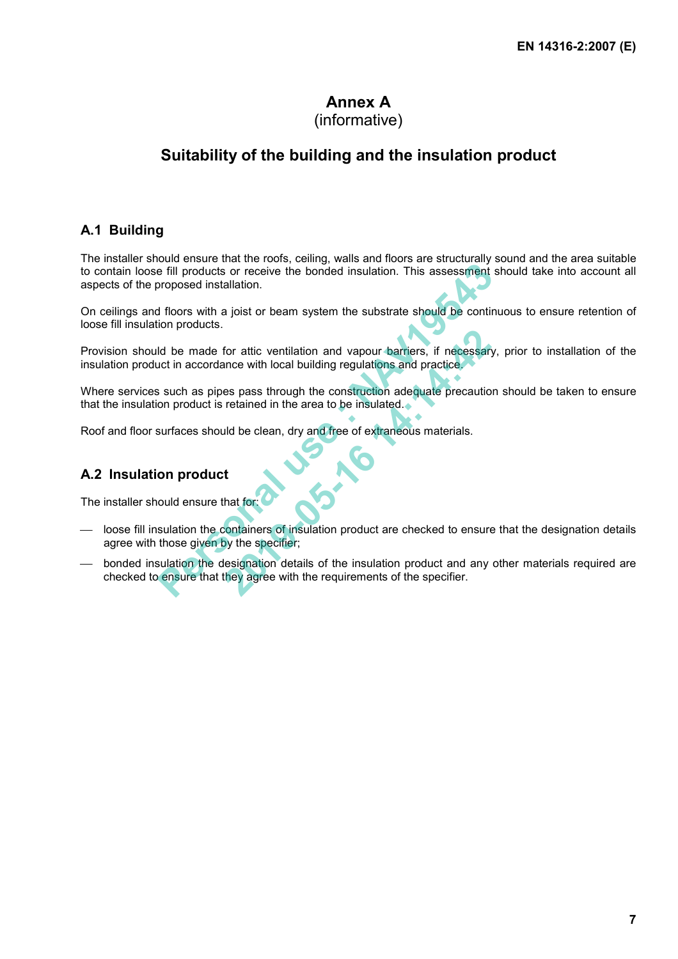## **Annex A**

## (informative)

## **Suitability of the building and the insulation product**

### **A.1 Building**

The installer should ensure that the roofs, ceiling, walls and floors are structurally sound and the area suitable to contain loose fill products or receive the bonded insulation. This assessment should take into account all aspects of the proposed installation. **Example 18 and the river is the bonded insulation. This assessment or<br>poposed installation.<br><b>1** floors with a joist or beam system the substrate should be continenting<br>proposed installation.<br>**1** floors with a joist or bea

On ceilings and floors with a joist or beam system the substrate should be continuous to ensure retention of loose fill insulation products.

Provision should be made for attic ventilation and vapour barriers, if necessary, prior to installation of the insulation product in accordance with local building regulations and practice. For attic ventilation and vapour barriers, if necessary<br>ance with local building regulations and practice.<br> **2019** as pass through the construction adequate precautio<br>
retained in the area to be insulated.<br>
<br> **2014** and th

Where services such as pipes pass through the construction adequate precaution should be taken to ensure that the insulation product is retained in the area to be insulated.

Roof and floor surfaces should be clean, dry and free of extraneous materials.

### **A.2 Insulation product**

The installer should ensure that for:

- loose fill insulation the containers of insulation product are checked to ensure that the designation details agree with those given by the specifier;
- bonded insulation the designation details of the insulation product and any other materials required are checked to ensure that they agree with the requirements of the specifier.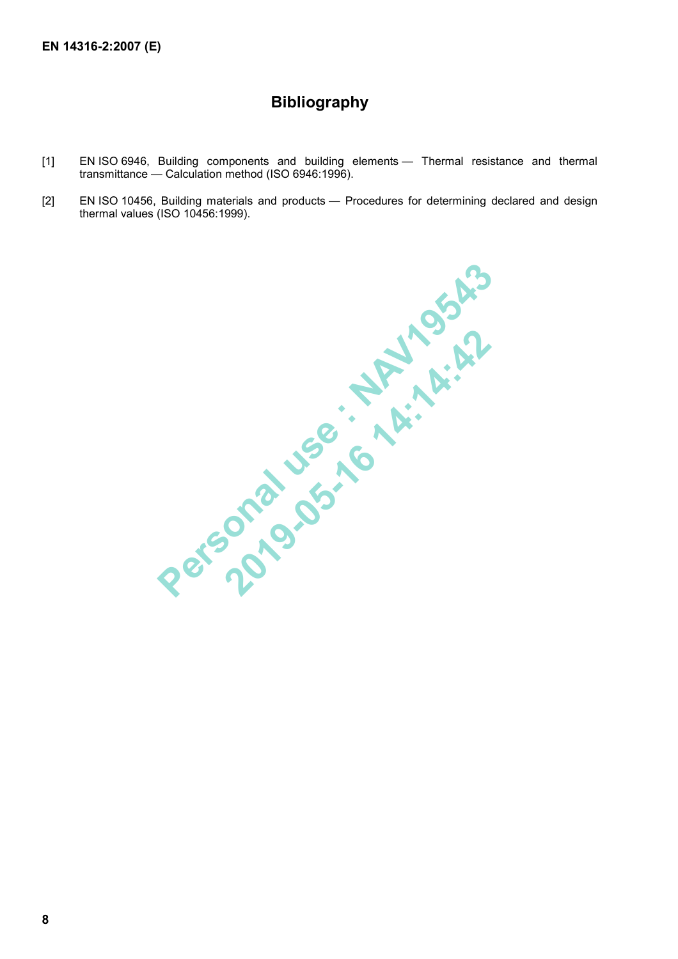## **Bibliography**

- [1] EN ISO 6946, Building components and building elements Thermal resistance and thermal transmittance — Calculation method (ISO 6946:1996).
- [2] EN ISO 10456, Building materials and products Procedures for determining declared and design thermal values (ISO 10456:1999).

**Personal user : \* NAV19543**